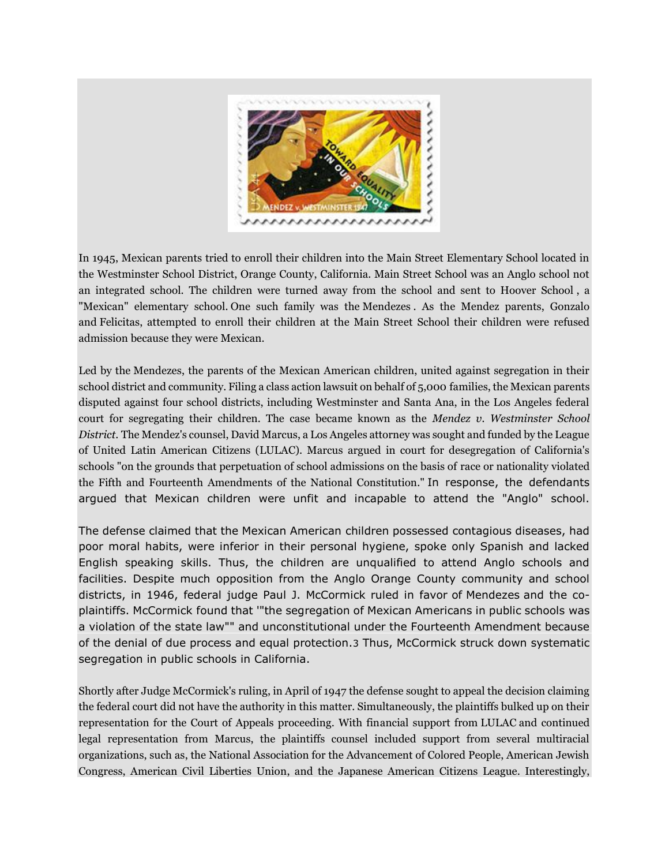

In 1945, Mexican parents tried to enroll their children into the Main Street Elementary School located in the Westminster School District, Orange County, California. Main Street School was an Anglo school not an integrated school. The children were turned away from the school and sent to Hoover School , a "Mexican" elementary school. One such family was the Mendezes . As the Mendez parents, Gonzalo and Felicitas, attempted to enroll their children at the Main Street School their children were refused admission because they were Mexican.

Led by the Mendezes, the parents of the Mexican American children, united against segregation in their school district and community. Filing a class action lawsuit on behalf of 5,000 families, the Mexican parents disputed against four school districts, including Westminster and Santa Ana, in the Los Angeles federal court for segregating their children. The case became known as the *Mendez v. Westminster School District*. The Mendez's counsel, David Marcus, a Los Angeles attorney was sought and funded by the League of United Latin American Citizens (LULAC). Marcus argued in court for desegregation of California's schools "on the grounds that perpetuation of school admissions on the basis of race or nationality violated the Fifth and Fourteenth Amendments of the National Constitution." In response, the defendants argued that Mexican children were unfit and incapable to attend the "Anglo" school.

The defense claimed that the Mexican American children possessed contagious diseases, had poor moral habits, were inferior in their personal hygiene, spoke only Spanish and lacked English speaking skills. Thus, the children are unqualified to attend Anglo schools and facilities. Despite much opposition from the Anglo Orange County community and school districts, in 1946, federal judge Paul J. McCormick ruled in favor of Mendezes and the coplaintiffs. McCormick found that '"the segregation of Mexican Americans in public schools was a violation of the state law"" and unconstitutional under the Fourteenth Amendment because of the denial of due process and equal protection.3 Thus, McCormick struck down systematic segregation in public schools in California.

Shortly after Judge McCormick's ruling, in April of 1947 the defense sought to appeal the decision claiming the federal court did not have the authority in this matter. Simultaneously, the plaintiffs bulked up on their representation for the Court of Appeals proceeding. With financial support from LULAC and continued legal representation from Marcus, the plaintiffs counsel included support from several multiracial organizations, such as, the National Association for the Advancement of Colored People, American Jewish Congress, American Civil Liberties Union, and the Japanese American Citizens League. Interestingly,